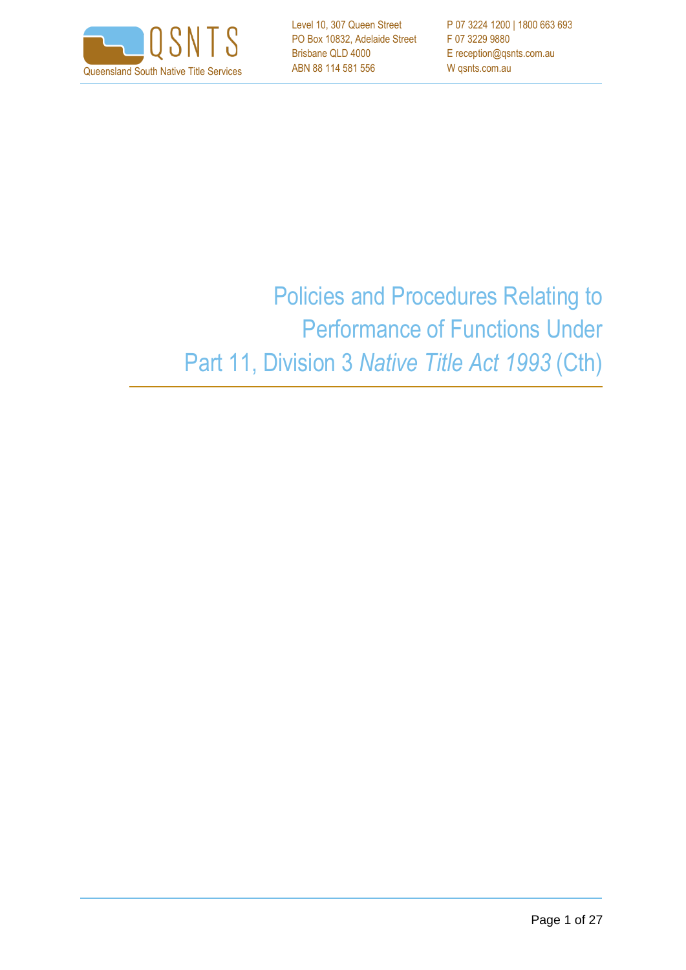

Level 10, 307 Queen Street PO Box 10832, Adelaide Street Brisbane QLD 4000 ABN 88 114 581 556

P 07 3224 1200 | 1800 663 693 F 07 3229 9880 E reception@qsnts.com.au

# Policies and Procedures Relating to Performance of Functions Under Part 11, Division 3 *Native Title Act 1993* (Cth)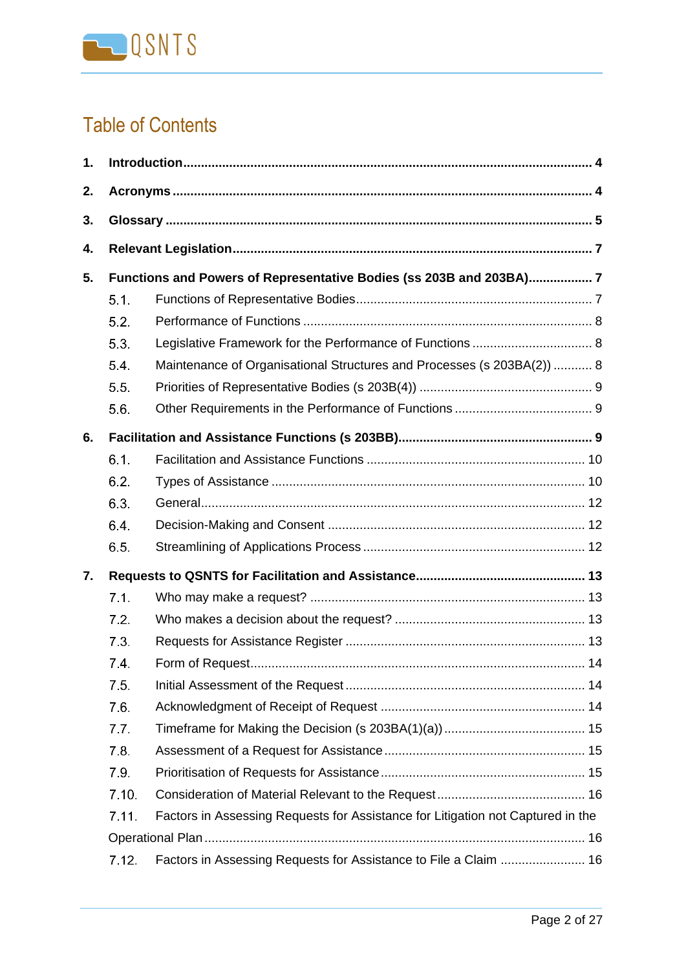

# Table of Contents

| 1. |       |                                                                                 |  |
|----|-------|---------------------------------------------------------------------------------|--|
| 2. |       |                                                                                 |  |
| 3. |       |                                                                                 |  |
| 4. |       |                                                                                 |  |
| 5. |       | Functions and Powers of Representative Bodies (ss 203B and 203BA)7              |  |
|    | 5.1.  |                                                                                 |  |
|    | 5.2.  |                                                                                 |  |
|    | 5.3.  |                                                                                 |  |
|    | 5.4.  | Maintenance of Organisational Structures and Processes (s 203BA(2))  8          |  |
|    | 5.5.  |                                                                                 |  |
|    | 5.6.  |                                                                                 |  |
| 6. |       |                                                                                 |  |
|    | 6.1.  |                                                                                 |  |
|    | 6.2.  |                                                                                 |  |
|    | 6.3.  |                                                                                 |  |
|    | 6.4.  |                                                                                 |  |
|    | 6.5.  |                                                                                 |  |
| 7. |       |                                                                                 |  |
|    | 7.1.  |                                                                                 |  |
|    | 7.2   |                                                                                 |  |
|    | 7.3.  |                                                                                 |  |
|    | 7.4.  |                                                                                 |  |
|    | 7.5   |                                                                                 |  |
|    | 7.6.  |                                                                                 |  |
|    | 7.7.  |                                                                                 |  |
|    | 7.8.  |                                                                                 |  |
|    | 7.9.  |                                                                                 |  |
|    | 7.10. |                                                                                 |  |
|    | 7.11. | Factors in Assessing Requests for Assistance for Litigation not Captured in the |  |
|    |       |                                                                                 |  |
|    | 7.12. | Factors in Assessing Requests for Assistance to File a Claim  16                |  |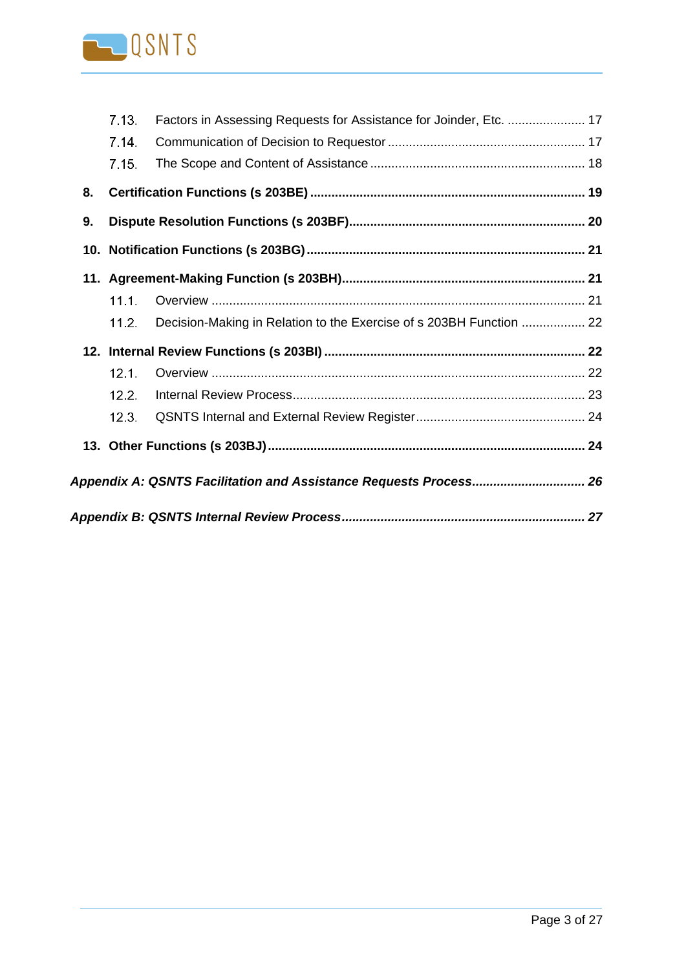

|    | 7.13. | Factors in Assessing Requests for Assistance for Joinder, Etc.  17  |  |
|----|-------|---------------------------------------------------------------------|--|
|    | 7.14  |                                                                     |  |
|    | 7.15. |                                                                     |  |
| 8. |       |                                                                     |  |
| 9. |       |                                                                     |  |
|    |       |                                                                     |  |
|    |       |                                                                     |  |
|    | 11.1. |                                                                     |  |
|    | 11.2. | Decision-Making in Relation to the Exercise of s 203BH Function  22 |  |
|    |       |                                                                     |  |
|    | 12.1. |                                                                     |  |
|    | 12.2. |                                                                     |  |
|    | 12.3. |                                                                     |  |
|    |       |                                                                     |  |
|    |       | Appendix A: QSNTS Facilitation and Assistance Requests Process 26   |  |
|    |       |                                                                     |  |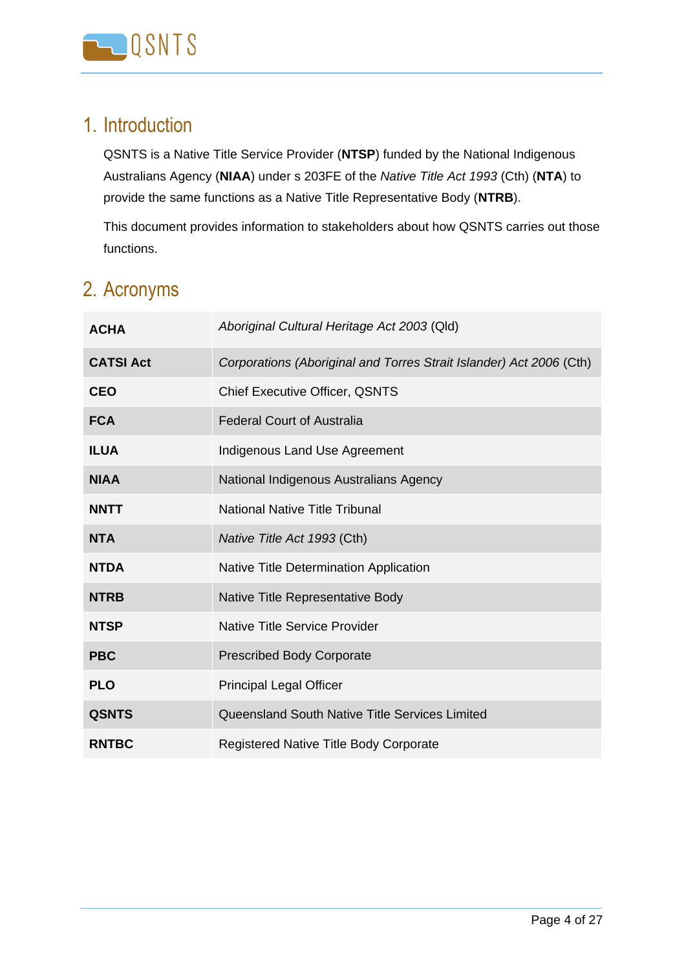

## <span id="page-3-0"></span>1. Introduction

QSNTS is a Native Title Service Provider (**NTSP**) funded by the National Indigenous Australians Agency (**NIAA**) under s 203FE of the *Native Title Act 1993* (Cth) (**NTA**) to provide the same functions as a Native Title Representative Body (**NTRB**).

This document provides information to stakeholders about how QSNTS carries out those functions.

## <span id="page-3-1"></span>2. Acronyms

| <b>ACHA</b>      | Aboriginal Cultural Heritage Act 2003 (Qld)                         |
|------------------|---------------------------------------------------------------------|
| <b>CATSI Act</b> | Corporations (Aboriginal and Torres Strait Islander) Act 2006 (Cth) |
| <b>CEO</b>       | <b>Chief Executive Officer, QSNTS</b>                               |
| <b>FCA</b>       | <b>Federal Court of Australia</b>                                   |
| <b>ILUA</b>      | <b>Indigenous Land Use Agreement</b>                                |
| <b>NIAA</b>      | National Indigenous Australians Agency                              |
| <b>NNTT</b>      | <b>National Native Title Tribunal</b>                               |
| <b>NTA</b>       | Native Title Act 1993 (Cth)                                         |
| <b>NTDA</b>      | Native Title Determination Application                              |
| <b>NTRB</b>      | Native Title Representative Body                                    |
| <b>NTSP</b>      | <b>Native Title Service Provider</b>                                |
| <b>PBC</b>       | <b>Prescribed Body Corporate</b>                                    |
| <b>PLO</b>       | <b>Principal Legal Officer</b>                                      |
| <b>QSNTS</b>     | Queensland South Native Title Services Limited                      |
| <b>RNTBC</b>     | <b>Registered Native Title Body Corporate</b>                       |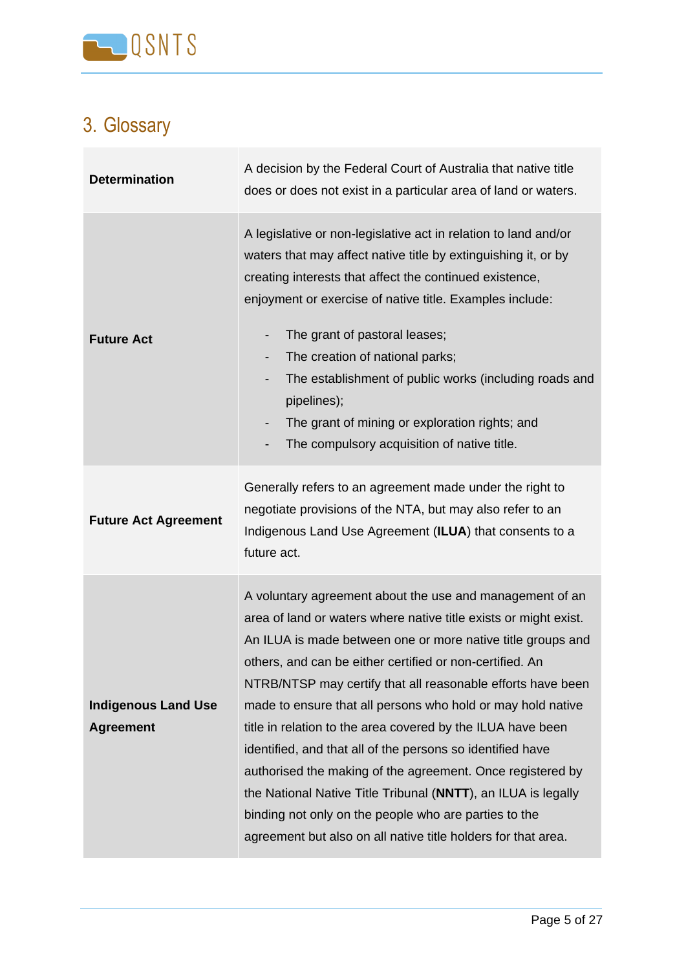

# <span id="page-4-0"></span>3. Glossary

| <b>Determination</b>                           | A decision by the Federal Court of Australia that native title<br>does or does not exist in a particular area of land or waters.                                                                                                                                                                                                                                                                                                                                                                                                                                                                                                                                                                                                                                            |
|------------------------------------------------|-----------------------------------------------------------------------------------------------------------------------------------------------------------------------------------------------------------------------------------------------------------------------------------------------------------------------------------------------------------------------------------------------------------------------------------------------------------------------------------------------------------------------------------------------------------------------------------------------------------------------------------------------------------------------------------------------------------------------------------------------------------------------------|
| <b>Future Act</b>                              | A legislative or non-legislative act in relation to land and/or<br>waters that may affect native title by extinguishing it, or by<br>creating interests that affect the continued existence,<br>enjoyment or exercise of native title. Examples include:<br>The grant of pastoral leases;<br>The creation of national parks;<br>-<br>The establishment of public works (including roads and<br>$\overline{\phantom{a}}$<br>pipelines);<br>The grant of mining or exploration rights; and<br>$\overline{\phantom{a}}$<br>The compulsory acquisition of native title.                                                                                                                                                                                                         |
| <b>Future Act Agreement</b>                    | Generally refers to an agreement made under the right to<br>negotiate provisions of the NTA, but may also refer to an<br>Indigenous Land Use Agreement (ILUA) that consents to a<br>future act.                                                                                                                                                                                                                                                                                                                                                                                                                                                                                                                                                                             |
| <b>Indigenous Land Use</b><br><b>Agreement</b> | A voluntary agreement about the use and management of an<br>area of land or waters where native title exists or might exist.<br>An ILUA is made between one or more native title groups and<br>others, and can be either certified or non-certified. An<br>NTRB/NTSP may certify that all reasonable efforts have been<br>made to ensure that all persons who hold or may hold native<br>title in relation to the area covered by the ILUA have been<br>identified, and that all of the persons so identified have<br>authorised the making of the agreement. Once registered by<br>the National Native Title Tribunal (NNTT), an ILUA is legally<br>binding not only on the people who are parties to the<br>agreement but also on all native title holders for that area. |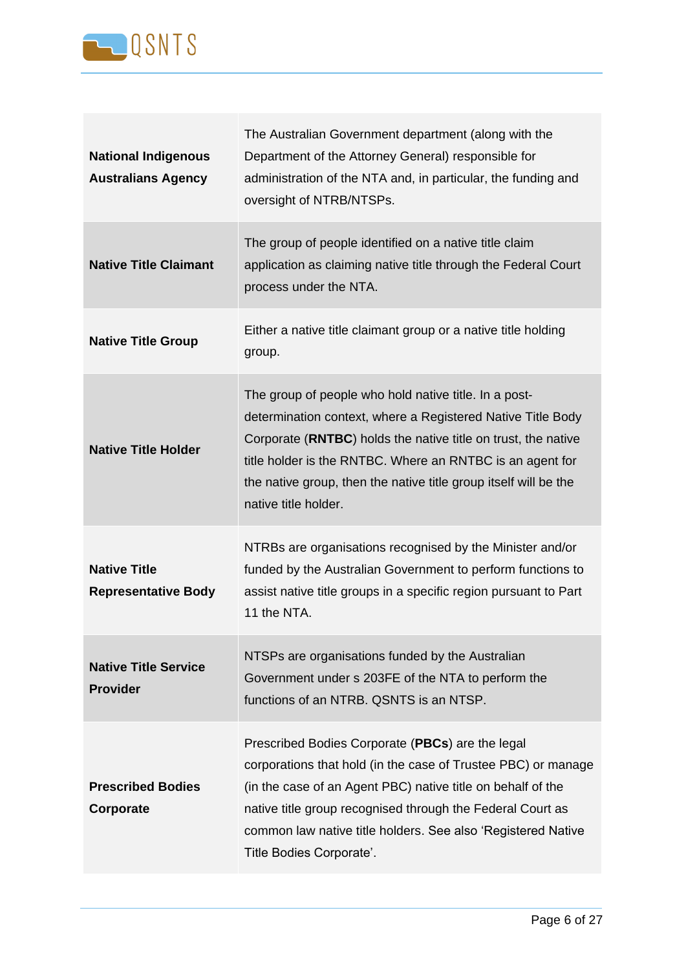

| <b>National Indigenous</b><br><b>Australians Agency</b> | The Australian Government department (along with the<br>Department of the Attorney General) responsible for<br>administration of the NTA and, in particular, the funding and<br>oversight of NTRB/NTSPs.                                                                                                                                       |
|---------------------------------------------------------|------------------------------------------------------------------------------------------------------------------------------------------------------------------------------------------------------------------------------------------------------------------------------------------------------------------------------------------------|
| <b>Native Title Claimant</b>                            | The group of people identified on a native title claim<br>application as claiming native title through the Federal Court<br>process under the NTA.                                                                                                                                                                                             |
| <b>Native Title Group</b>                               | Either a native title claimant group or a native title holding<br>group.                                                                                                                                                                                                                                                                       |
| <b>Native Title Holder</b>                              | The group of people who hold native title. In a post-<br>determination context, where a Registered Native Title Body<br>Corporate (RNTBC) holds the native title on trust, the native<br>title holder is the RNTBC. Where an RNTBC is an agent for<br>the native group, then the native title group itself will be the<br>native title holder. |
| <b>Native Title</b><br><b>Representative Body</b>       | NTRBs are organisations recognised by the Minister and/or<br>funded by the Australian Government to perform functions to<br>assist native title groups in a specific region pursuant to Part<br>11 the NTA.                                                                                                                                    |
| <b>Native Title Service</b><br><b>Provider</b>          | NTSPs are organisations funded by the Australian<br>Government under s 203FE of the NTA to perform the<br>functions of an NTRB. QSNTS is an NTSP.                                                                                                                                                                                              |
| <b>Prescribed Bodies</b><br>Corporate                   | Prescribed Bodies Corporate (PBCs) are the legal<br>corporations that hold (in the case of Trustee PBC) or manage<br>(in the case of an Agent PBC) native title on behalf of the<br>native title group recognised through the Federal Court as<br>common law native title holders. See also 'Registered Native<br>Title Bodies Corporate'.     |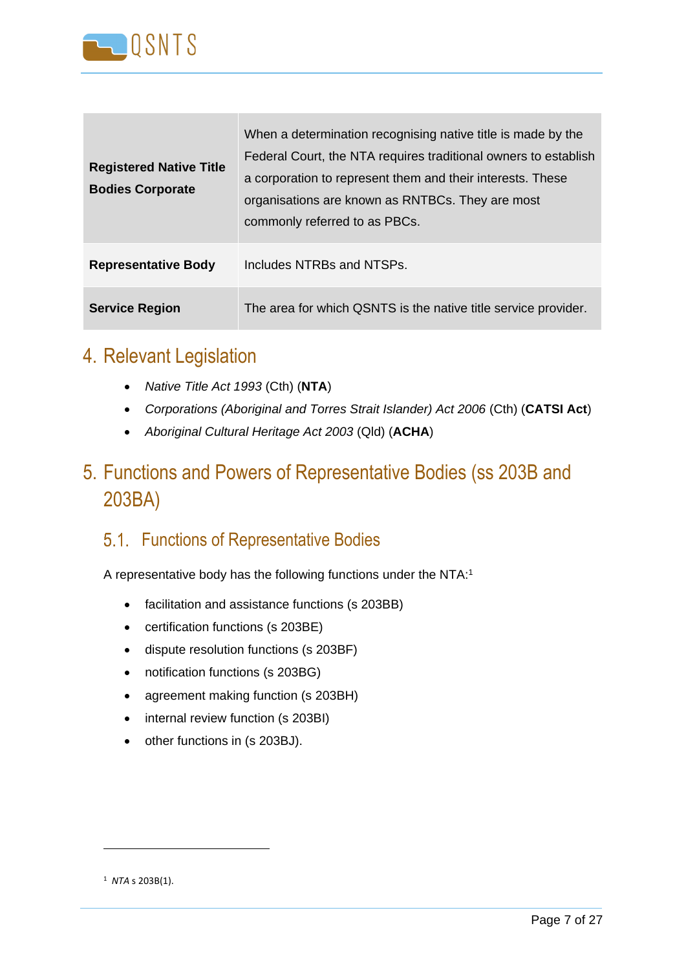

| <b>Registered Native Title</b><br><b>Bodies Corporate</b> | When a determination recognising native title is made by the<br>Federal Court, the NTA requires traditional owners to establish<br>a corporation to represent them and their interests. These<br>organisations are known as RNTBCs. They are most<br>commonly referred to as PBCs. |
|-----------------------------------------------------------|------------------------------------------------------------------------------------------------------------------------------------------------------------------------------------------------------------------------------------------------------------------------------------|
| <b>Representative Body</b>                                | Includes NTRBs and NTSPs.                                                                                                                                                                                                                                                          |
| <b>Service Region</b>                                     | The area for which QSNTS is the native title service provider.                                                                                                                                                                                                                     |

### <span id="page-6-0"></span>4. Relevant Legislation

- *Native Title Act 1993* (Cth) (**NTA**)
- *Corporations (Aboriginal and Torres Strait Islander) Act 2006* (Cth) (**CATSI Act**)
- *Aboriginal Cultural Heritage Act 2003* (Qld) (**ACHA**)

## <span id="page-6-1"></span>5. Functions and Powers of Representative Bodies (ss 203B and 203BA)

#### <span id="page-6-2"></span>5.1. Functions of Representative Bodies

A representative body has the following functions under the NTA:<sup>1</sup>

- facilitation and assistance functions (s 203BB)
- certification functions (s 203BE)
- dispute resolution functions (s 203BF)
- notification functions (s 203BG)
- agreement making function (s 203BH)
- internal review function (s 203BI)
- other functions in (s 203BJ).

<sup>1</sup> *NTA* s 203B(1).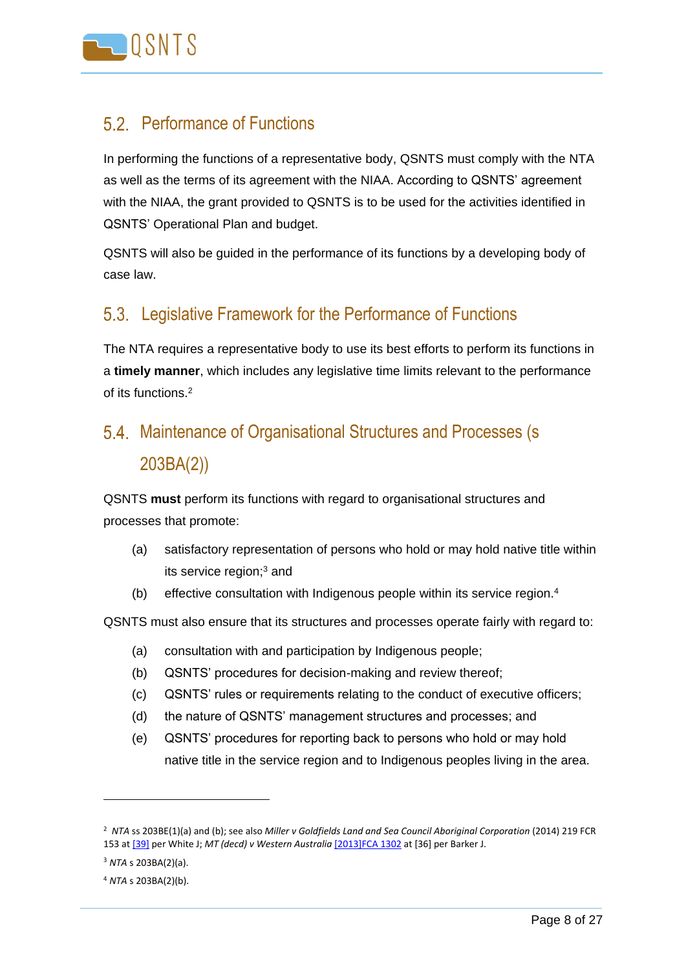

#### <span id="page-7-0"></span>Performance of Functions

In performing the functions of a representative body, QSNTS must comply with the NTA as well as the terms of its agreement with the NIAA. According to QSNTS' agreement with the NIAA, the grant provided to QSNTS is to be used for the activities identified in QSNTS' Operational Plan and budget.

QSNTS will also be guided in the performance of its functions by a developing body of case law.

#### <span id="page-7-1"></span>5.3. Legislative Framework for the Performance of Functions

The NTA requires a representative body to use its best efforts to perform its functions in a **timely manner**, which includes any legislative time limits relevant to the performance of its functions.<sup>2</sup>

## <span id="page-7-2"></span>5.4. Maintenance of Organisational Structures and Processes (s 203BA(2))

QSNTS **must** perform its functions with regard to organisational structures and processes that promote:

- (a) satisfactory representation of persons who hold or may hold native title within its service region;<sup>3</sup> and
- (b) effective consultation with Indigenous people within its service region.<sup>4</sup>

QSNTS must also ensure that its structures and processes operate fairly with regard to:

- (a) consultation with and participation by Indigenous people;
- (b) QSNTS' procedures for decision-making and review thereof;
- (c) QSNTS' rules or requirements relating to the conduct of executive officers;
- (d) the nature of QSNTS' management structures and processes; and
- (e) QSNTS' procedures for reporting back to persons who hold or may hold native title in the service region and to Indigenous peoples living in the area.

<sup>2</sup> *NTA* ss 203BE(1)(a) and (b); see also *Miller v Goldfields Land and Sea Council Aboriginal Corporation* (2014) 219 FCR 153 at [\[39\]](https://advance.lexis.com/document/documentlink/?pdmfid=1201008&crid=c40aa6b5-d891-46ca-a434-388040ef1912&pddocfullpath=%2Fshared%2Fdocument%2Fanalytical-materials-au%2Furn%3AcontentItem%3A58YC-4G61-F06F-21HW-00000-00&pdpinpoint=NT.GC.2862&pdcontentcomponentid=267974&pddoctitle=%5B2862%5D&pdproductcontenttypeid=urn%3Apct%3A167&pdiskwicview=false&ecomp=73w6k&prid=a4cb68c2-2f55-4590-bcf0-aafcf7c90d1a) per White J; *MT (decd) v Western Australia* [\[2013\]FCA 1302](https://advance.lexis.com/document/documentlink/?pdmfid=1201008&crid=c40aa6b5-d891-46ca-a434-388040ef1912&pddocfullpath=%2Fshared%2Fdocument%2Fanalytical-materials-au%2Furn%3AcontentItem%3A58YC-4G61-F06F-21HW-00000-00&pdpinpoint=NT.GC.2862&pdcontentcomponentid=267974&pddoctitle=%5B2862%5D&pdproductcontenttypeid=urn%3Apct%3A167&pdiskwicview=false&ecomp=73w6k&prid=a4cb68c2-2f55-4590-bcf0-aafcf7c90d1a) at [36] per Barker J.

<sup>3</sup> *NTA* s 203BA(2)(a).

<sup>4</sup> *NTA* s 203BA(2)(b).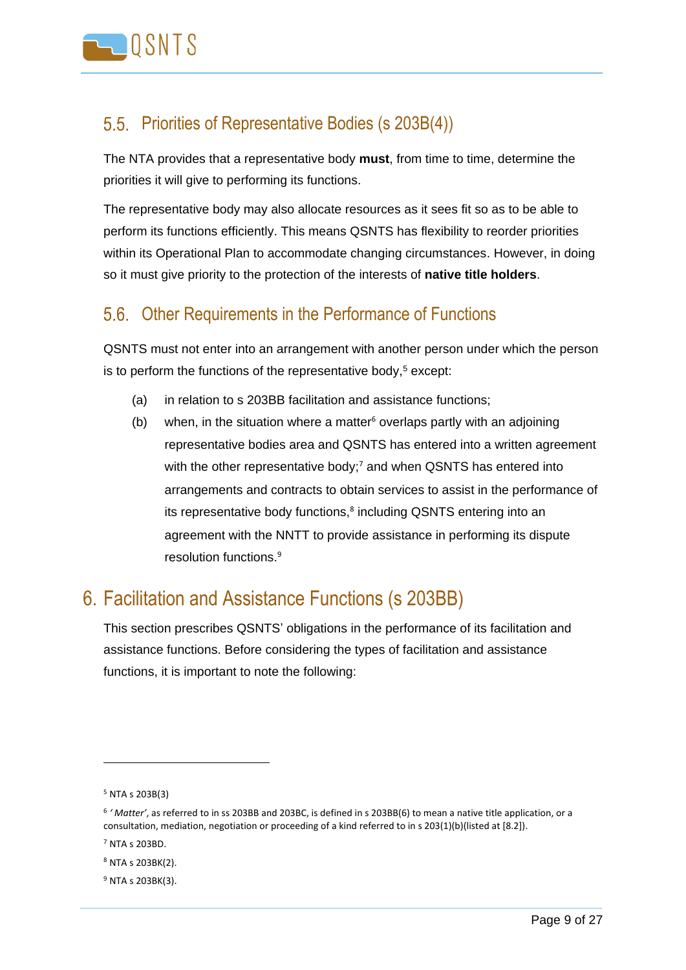

#### <span id="page-8-0"></span>Priorities of Representative Bodies (s 203B(4))

The NTA provides that a representative body **must**, from time to time, determine the priorities it will give to performing its functions.

The representative body may also allocate resources as it sees fit so as to be able to perform its functions efficiently. This means QSNTS has flexibility to reorder priorities within its Operational Plan to accommodate changing circumstances. However, in doing so it must give priority to the protection of the interests of **native title holders**.

### <span id="page-8-1"></span>5.6. Other Requirements in the Performance of Functions

QSNTS must not enter into an arrangement with another person under which the person is to perform the functions of the representative body, $5$  except:

- (a) in relation to s 203BB facilitation and assistance functions;
- (b) when, in the situation where a matter<sup>6</sup> overlaps partly with an adjoining representative bodies area and QSNTS has entered into a written agreement with the other representative body;<sup>7</sup> and when QSNTS has entered into arrangements and contracts to obtain services to assist in the performance of its representative body functions,<sup>8</sup> including QSNTS entering into an agreement with the NNTT to provide assistance in performing its dispute resolution functions.<sup>9</sup>

### <span id="page-8-2"></span>6. Facilitation and Assistance Functions (s 203BB)

This section prescribes QSNTS' obligations in the performance of its facilitation and assistance functions. Before considering the types of facilitation and assistance functions, it is important to note the following:

<sup>5</sup> NTA s 203B(3)

<sup>6</sup> *' Matter'*, as referred to in ss 203BB and 203BC, is defined in s 203BB(6) to mean a native title application, or a consultation, mediation, negotiation or proceeding of a kind referred to in s 203(1)(b)(listed at [8.2]).

<sup>7</sup> NTA s 203BD.

<sup>8</sup> NTA s 203BK(2).

<sup>9</sup> NTA s 203BK(3).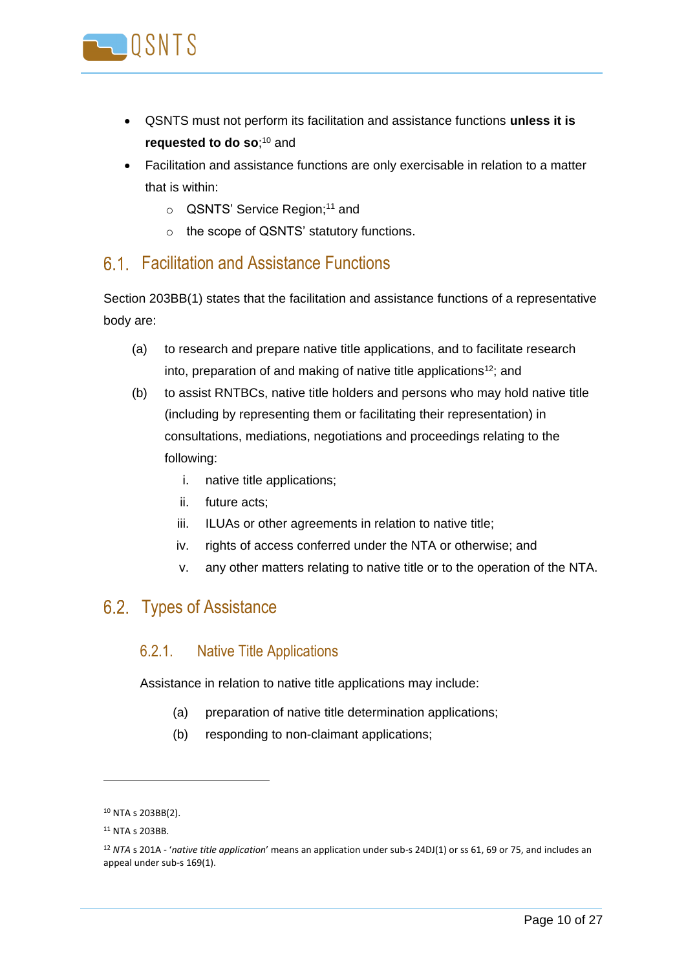

- QSNTS must not perform its facilitation and assistance functions **unless it is requested to do so**;<sup>10</sup> and
- Facilitation and assistance functions are only exercisable in relation to a matter that is within:
	- o QSNTS' Service Region;<sup>11</sup> and
	- o the scope of QSNTS' statutory functions.

#### <span id="page-9-0"></span>Facilitation and Assistance Functions

Section 203BB(1) states that the facilitation and assistance functions of a representative body are:

- (a) to research and prepare native title applications, and to facilitate research into, preparation of and making of native title applications<sup>12</sup>; and
- (b) to assist RNTBCs, native title holders and persons who may hold native title (including by representing them or facilitating their representation) in consultations, mediations, negotiations and proceedings relating to the following:
	- i. native title applications;
	- ii. future acts;
	- iii. ILUAs or other agreements in relation to native title;
	- iv. rights of access conferred under the NTA or otherwise; and
	- v. any other matters relating to native title or to the operation of the NTA.

#### <span id="page-9-1"></span>6.2. Types of Assistance

#### 6.2.1. Native Title Applications

Assistance in relation to native title applications may include:

- (a) preparation of native title determination applications;
- (b) responding to non-claimant applications;

<sup>10</sup> NTA s 203BB(2).

<sup>11</sup> NTA s 203BB.

<sup>12</sup> *NTA* s 201A - '*native title application*' means an application under sub-s 24DJ(1) or ss 61, 69 or 75, and includes an appeal under sub-s 169(1).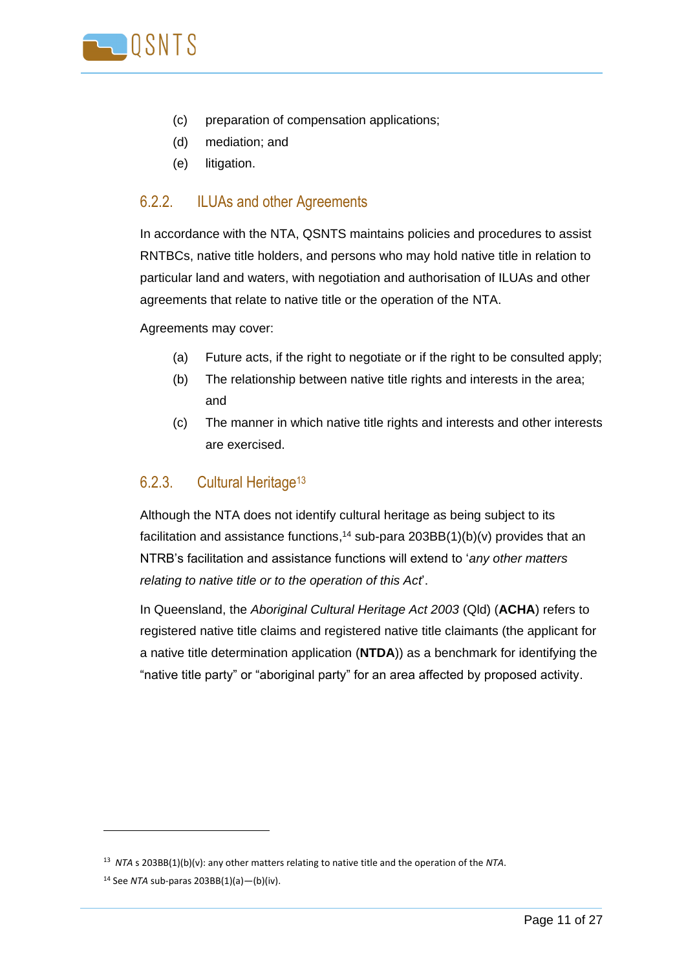

- (c) preparation of compensation applications;
- (d) mediation; and
- (e) litigation.

#### 6.2.2. ILUAs and other Agreements

In accordance with the NTA, QSNTS maintains policies and procedures to assist RNTBCs, native title holders, and persons who may hold native title in relation to particular land and waters, with negotiation and authorisation of ILUAs and other agreements that relate to native title or the operation of the NTA.

Agreements may cover:

- (a) Future acts, if the right to negotiate or if the right to be consulted apply;
- (b) The relationship between native title rights and interests in the area; and
- (c) The manner in which native title rights and interests and other interests are exercised.

#### 6.2.3. Cultural Heritage<sup>13</sup>

Although the NTA does not identify cultural heritage as being subject to its facilitation and assistance functions, <sup>14</sup> sub-para 203BB(1)(b)(v) provides that an NTRB's facilitation and assistance functions will extend to '*any other matters relating to native title or to the operation of this Act*'.

In Queensland, the *Aboriginal Cultural Heritage Act 2003* (Qld) (**ACHA**) refers to registered native title claims and registered native title claimants (the applicant for a native title determination application (**NTDA**)) as a benchmark for identifying the "native title party" or "aboriginal party" for an area affected by proposed activity.

<sup>13</sup> *NTA* s 203BB(1)(b)(v): any other matters relating to native title and the operation of the *NTA*.

<sup>14</sup> See *NTA* sub-paras 203BB(1)(a)—(b)(iv).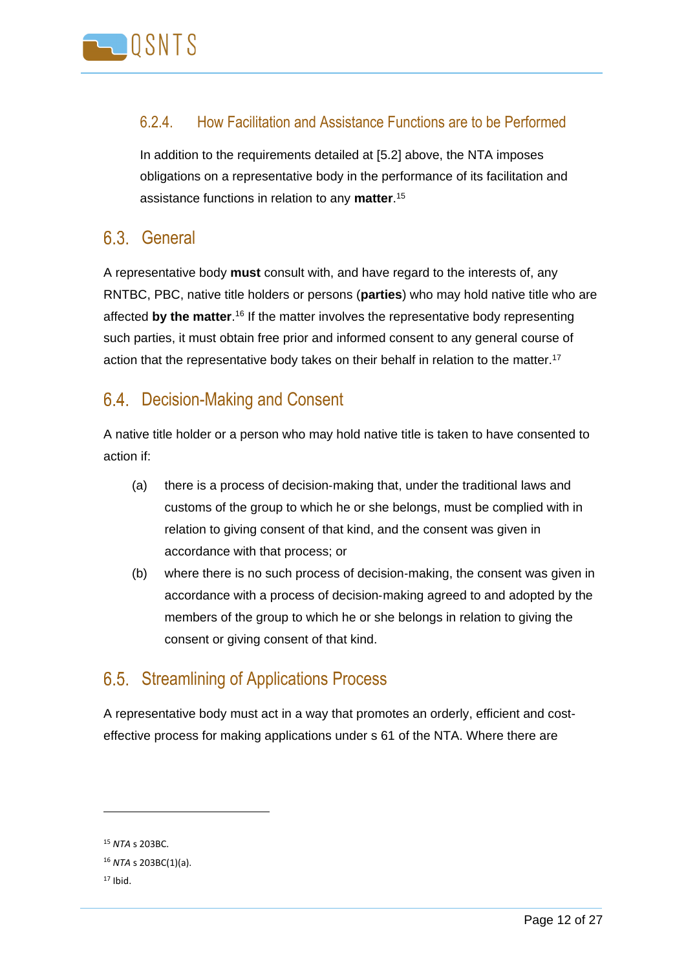

#### 6.2.4. How Facilitation and Assistance Functions are to be Performed

In addition to the requirements detailed at [\[5.2\]](#page-7-0) above, the NTA imposes obligations on a representative body in the performance of its facilitation and assistance functions in relation to any **matter**. 15

#### <span id="page-11-0"></span>6.3 General

A representative body **must** consult with, and have regard to the interests of, any RNTBC, PBC, native title holders or persons (**parties**) who may hold native title who are affected by the matter.<sup>16</sup> If the matter involves the representative body representing such parties, it must obtain free prior and informed consent to any general course of action that the representative body takes on their behalf in relation to the matter.<sup>17</sup>

#### <span id="page-11-1"></span>6.4. Decision-Making and Consent

A native title holder or a person who may hold native title is taken to have consented to action if:

- (a) there is a process of decision‑making that, under the traditional laws and customs of the group to which he or she belongs, must be complied with in relation to giving consent of that kind, and the consent was given in accordance with that process; or
- (b) where there is no such process of decision‑making, the consent was given in accordance with a process of decision‑making agreed to and adopted by the members of the group to which he or she belongs in relation to giving the consent or giving consent of that kind.

#### <span id="page-11-2"></span>6.5. Streamlining of Applications Process

A representative body must act in a way that promotes an orderly, efficient and costeffective process for making applications under s 61 of the NTA. Where there are

<sup>15</sup> *NTA* s 203BC.

<sup>16</sup> *NTA* s 203BC(1)(a).

 $17$  Ibid.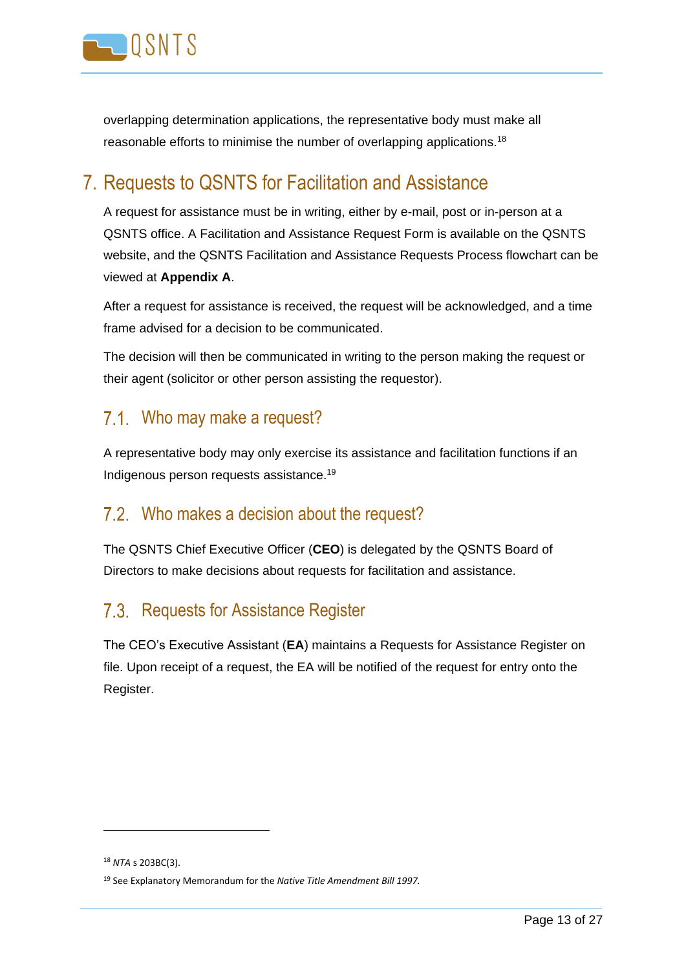

overlapping determination applications, the representative body must make all reasonable efforts to minimise the number of overlapping applications.<sup>18</sup>

### <span id="page-12-0"></span>7. Requests to QSNTS for Facilitation and Assistance

A request for assistance must be in writing, either by e-mail, post or in-person at a QSNTS office. A Facilitation and Assistance Request Form is available on the QSNTS website, and the QSNTS Facilitation and Assistance Requests Process flowchart can be viewed at **Appendix A**.

After a request for assistance is received, the request will be acknowledged, and a time frame advised for a decision to be communicated.

The decision will then be communicated in writing to the person making the request or their agent (solicitor or other person assisting the requestor).

#### <span id="page-12-1"></span>7.1. Who may make a request?

A representative body may only exercise its assistance and facilitation functions if an Indigenous person requests assistance.<sup>19</sup>

#### <span id="page-12-2"></span>7.2. Who makes a decision about the request?

The QSNTS Chief Executive Officer (**CEO**) is delegated by the QSNTS Board of Directors to make decisions about requests for facilitation and assistance.

### <span id="page-12-3"></span>7.3. Requests for Assistance Register

The CEO's Executive Assistant (**EA**) maintains a Requests for Assistance Register on file. Upon receipt of a request, the EA will be notified of the request for entry onto the Register.

<sup>18</sup> *NTA* s 203BC(3).

<sup>19</sup> See Explanatory Memorandum for the *Native Title Amendment Bill 1997.*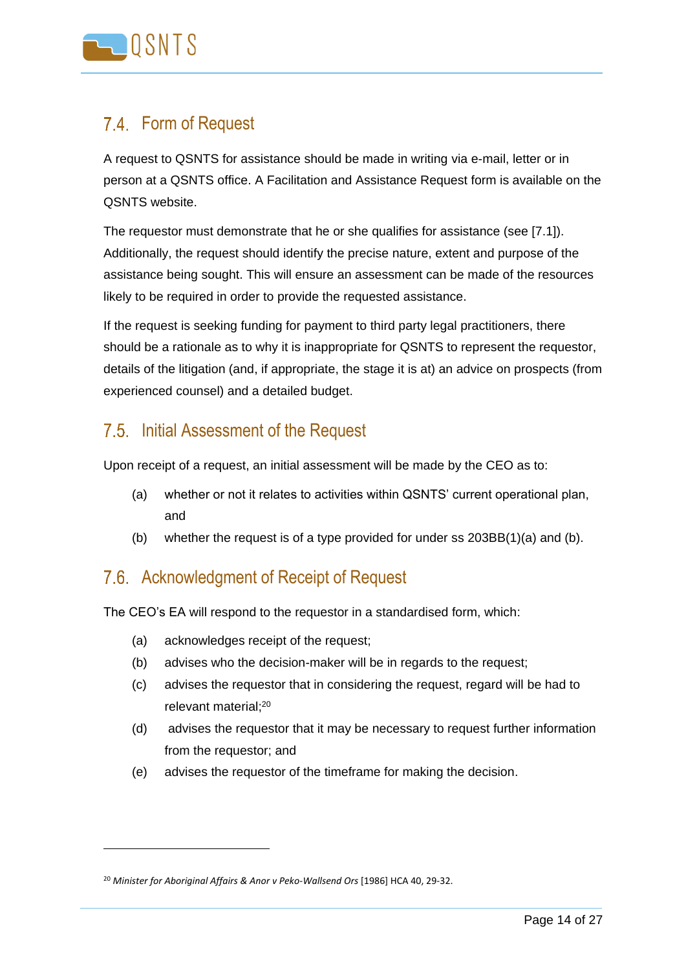

### <span id="page-13-0"></span>7.4. Form of Request

A request to QSNTS for assistance should be made in writing via e-mail, letter or in person at a QSNTS office. A Facilitation and Assistance Request form is available on the QSNTS website.

The requestor must demonstrate that he or she qualifies for assistance (see [7.1]). Additionally, the request should identify the precise nature, extent and purpose of the assistance being sought. This will ensure an assessment can be made of the resources likely to be required in order to provide the requested assistance.

If the request is seeking funding for payment to third party legal practitioners, there should be a rationale as to why it is inappropriate for QSNTS to represent the requestor, details of the litigation (and, if appropriate, the stage it is at) an advice on prospects (from experienced counsel) and a detailed budget.

#### <span id="page-13-1"></span>7.5. Initial Assessment of the Request

Upon receipt of a request, an initial assessment will be made by the CEO as to:

- (a) whether or not it relates to activities within QSNTS' current operational plan, and
- (b) whether the request is of a type provided for under ss 203BB(1)(a) and (b).

### <span id="page-13-2"></span>7.6. Acknowledgment of Receipt of Request

The CEO's EA will respond to the requestor in a standardised form, which:

- (a) acknowledges receipt of the request;
- (b) advises who the decision-maker will be in regards to the request;
- (c) advises the requestor that in considering the request, regard will be had to relevant material; 20
- (d) advises the requestor that it may be necessary to request further information from the requestor; and
- (e) advises the requestor of the timeframe for making the decision.

<sup>20</sup> *Minister for Aboriginal Affairs & Anor v Peko-Wallsend Ors* [1986] HCA 40, 29-32.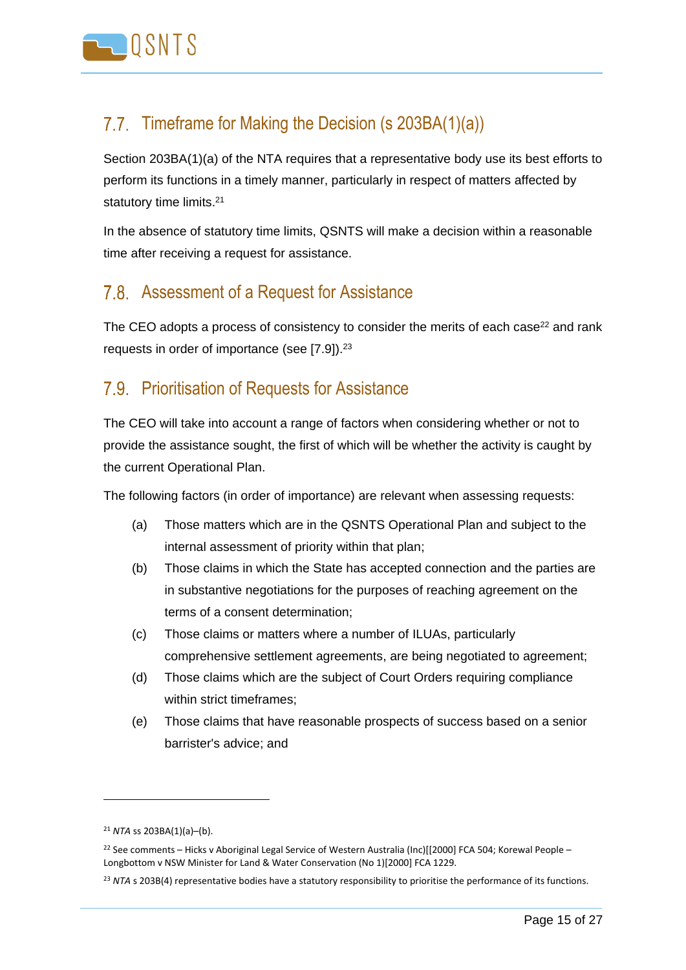

### <span id="page-14-0"></span>7.7. Timeframe for Making the Decision (s 203BA(1)(a))

Section 203BA(1)(a) of the NTA requires that a representative body use its best efforts to perform its functions in a timely manner, particularly in respect of matters affected by statutory time limits.<sup>21</sup>

In the absence of statutory time limits, QSNTS will make a decision within a reasonable time after receiving a request for assistance.

#### <span id="page-14-1"></span>7.8. Assessment of a Request for Assistance

The CEO adopts a process of consistency to consider the merits of each case<sup>22</sup> and rank requests in order of importance (see [7.9]).<sup>23</sup>

#### <span id="page-14-2"></span>7.9. Prioritisation of Requests for Assistance

The CEO will take into account a range of factors when considering whether or not to provide the assistance sought, the first of which will be whether the activity is caught by the current Operational Plan.

The following factors (in order of importance) are relevant when assessing requests:

- (a) Those matters which are in the QSNTS Operational Plan and subject to the internal assessment of priority within that plan;
- (b) Those claims in which the State has accepted connection and the parties are in substantive negotiations for the purposes of reaching agreement on the terms of a consent determination;
- (c) Those claims or matters where a number of ILUAs, particularly comprehensive settlement agreements, are being negotiated to agreement;
- (d) Those claims which are the subject of Court Orders requiring compliance within strict timeframes;
- (e) Those claims that have reasonable prospects of success based on a senior barrister's advice; and

<sup>21</sup> *NTA* ss 203BA(1)(a)–(b).

<sup>&</sup>lt;sup>22</sup> See comments – Hicks v Aboriginal Legal Service of Western Australia (Inc)[[2000] FCA 504; Korewal People – Longbottom v NSW Minister for Land & Water Conservation (No 1)[2000] FCA 1229.

<sup>&</sup>lt;sup>23</sup> NTA s 203B(4) representative bodies have a statutory responsibility to prioritise the performance of its functions.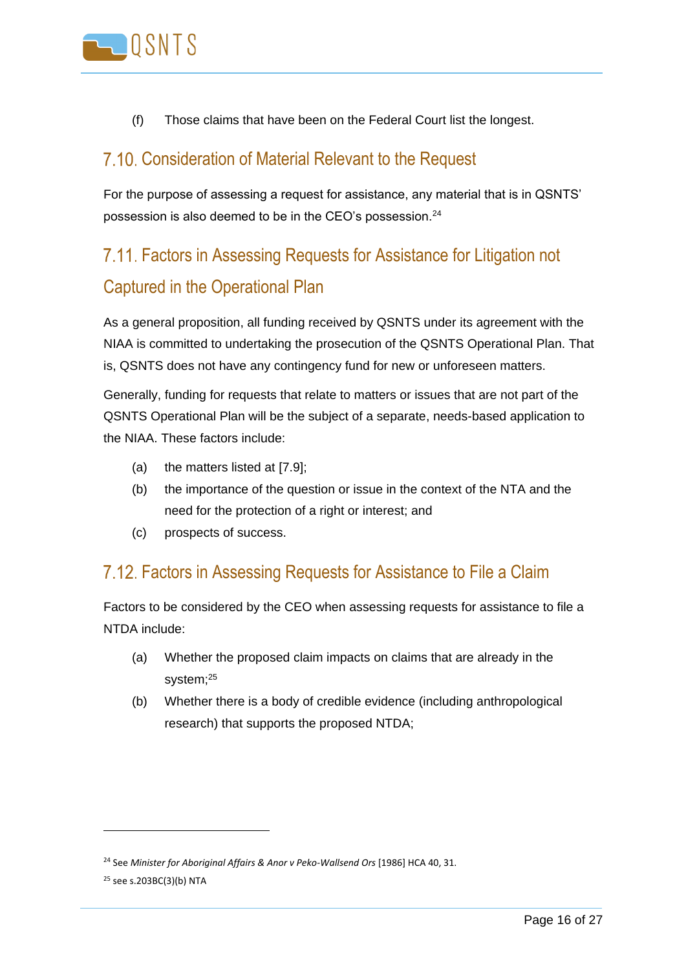

(f) Those claims that have been on the Federal Court list the longest.

#### <span id="page-15-0"></span>7.10. Consideration of Material Relevant to the Request

For the purpose of assessing a request for assistance, any material that is in QSNTS' possession is also deemed to be in the CEO's possession.<sup>24</sup>

# <span id="page-15-1"></span>Factors in Assessing Requests for Assistance for Litigation not Captured in the Operational Plan

As a general proposition, all funding received by QSNTS under its agreement with the NIAA is committed to undertaking the prosecution of the QSNTS Operational Plan. That is, QSNTS does not have any contingency fund for new or unforeseen matters.

Generally, funding for requests that relate to matters or issues that are not part of the QSNTS Operational Plan will be the subject of a separate, needs-based application to the NIAA. These factors include:

- (a) the matters listed at [7.9];
- (b) the importance of the question or issue in the context of the NTA and the need for the protection of a right or interest; and
- (c) prospects of success.

#### <span id="page-15-2"></span>Factors in Assessing Requests for Assistance to File a Claim

Factors to be considered by the CEO when assessing requests for assistance to file a NTDA include:

- (a) Whether the proposed claim impacts on claims that are already in the system;<sup>25</sup>
- (b) Whether there is a body of credible evidence (including anthropological research) that supports the proposed NTDA;

<sup>24</sup> See *Minister for Aboriginal Affairs & Anor v Peko-Wallsend Ors* [1986] HCA 40, 31.

<sup>25</sup> see s.203BC(3)(b) NTA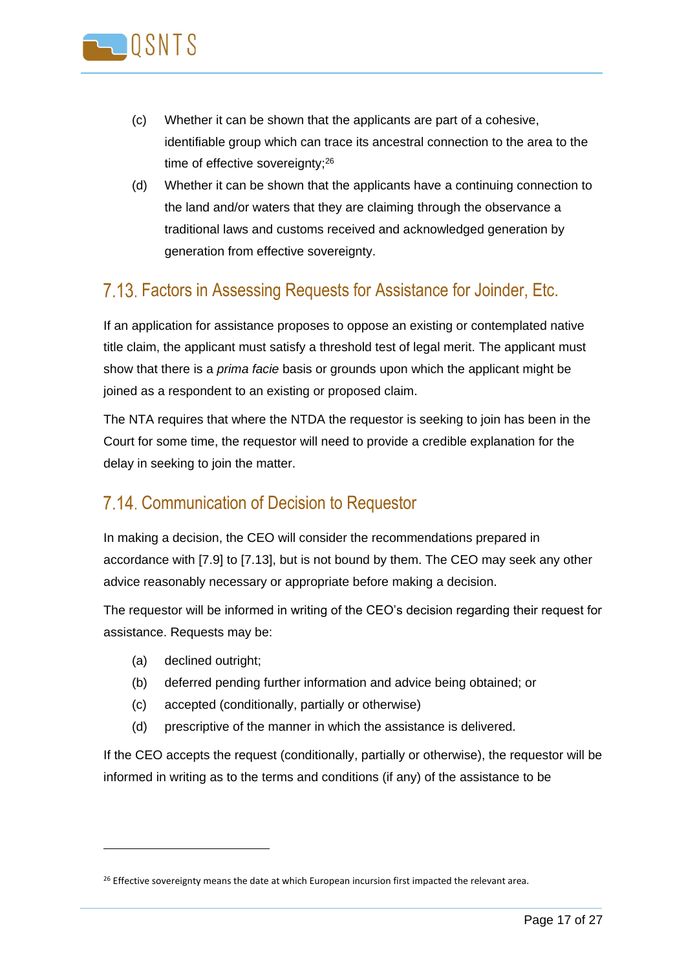

- (c) Whether it can be shown that the applicants are part of a cohesive, identifiable group which can trace its ancestral connection to the area to the time of effective sovereignty;<sup>26</sup>
- (d) Whether it can be shown that the applicants have a continuing connection to the land and/or waters that they are claiming through the observance a traditional laws and customs received and acknowledged generation by generation from effective sovereignty.

### <span id="page-16-0"></span>Factors in Assessing Requests for Assistance for Joinder, Etc.

If an application for assistance proposes to oppose an existing or contemplated native title claim, the applicant must satisfy a threshold test of legal merit. The applicant must show that there is a *prima facie* basis or grounds upon which the applicant might be joined as a respondent to an existing or proposed claim.

The NTA requires that where the NTDA the requestor is seeking to join has been in the Court for some time, the requestor will need to provide a credible explanation for the delay in seeking to join the matter.

#### <span id="page-16-1"></span>7.14. Communication of Decision to Requestor

In making a decision, the CEO will consider the recommendations prepared in accordance with [\[7.9\]](#page-14-2) to [\[7.13\]](#page-16-0), but is not bound by them. The CEO may seek any other advice reasonably necessary or appropriate before making a decision.

The requestor will be informed in writing of the CEO's decision regarding their request for assistance. Requests may be:

(a) declined outright;

- (b) deferred pending further information and advice being obtained; or
- (c) accepted (conditionally, partially or otherwise)
- (d) prescriptive of the manner in which the assistance is delivered.

If the CEO accepts the request (conditionally, partially or otherwise), the requestor will be informed in writing as to the terms and conditions (if any) of the assistance to be

<sup>&</sup>lt;sup>26</sup> Effective sovereignty means the date at which European incursion first impacted the relevant area.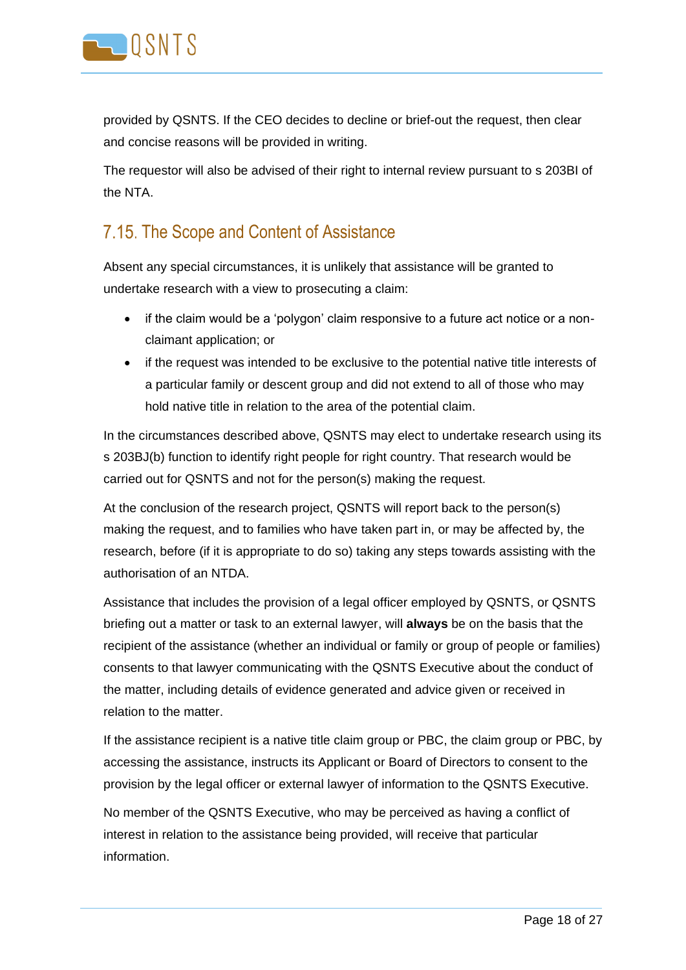

provided by QSNTS. If the CEO decides to decline or brief-out the request, then clear and concise reasons will be provided in writing.

The requestor will also be advised of their right to internal review pursuant to s 203BI of the NTA.

#### <span id="page-17-0"></span>7.15. The Scope and Content of Assistance

Absent any special circumstances, it is unlikely that assistance will be granted to undertake research with a view to prosecuting a claim:

- if the claim would be a 'polygon' claim responsive to a future act notice or a nonclaimant application; or
- if the request was intended to be exclusive to the potential native title interests of a particular family or descent group and did not extend to all of those who may hold native title in relation to the area of the potential claim.

In the circumstances described above, QSNTS may elect to undertake research using its s 203BJ(b) function to identify right people for right country. That research would be carried out for QSNTS and not for the person(s) making the request.

At the conclusion of the research project, QSNTS will report back to the person(s) making the request, and to families who have taken part in, or may be affected by, the research, before (if it is appropriate to do so) taking any steps towards assisting with the authorisation of an NTDA.

Assistance that includes the provision of a legal officer employed by QSNTS, or QSNTS briefing out a matter or task to an external lawyer, will **always** be on the basis that the recipient of the assistance (whether an individual or family or group of people or families) consents to that lawyer communicating with the QSNTS Executive about the conduct of the matter, including details of evidence generated and advice given or received in relation to the matter.

If the assistance recipient is a native title claim group or PBC, the claim group or PBC, by accessing the assistance, instructs its Applicant or Board of Directors to consent to the provision by the legal officer or external lawyer of information to the QSNTS Executive.

No member of the QSNTS Executive, who may be perceived as having a conflict of interest in relation to the assistance being provided, will receive that particular information.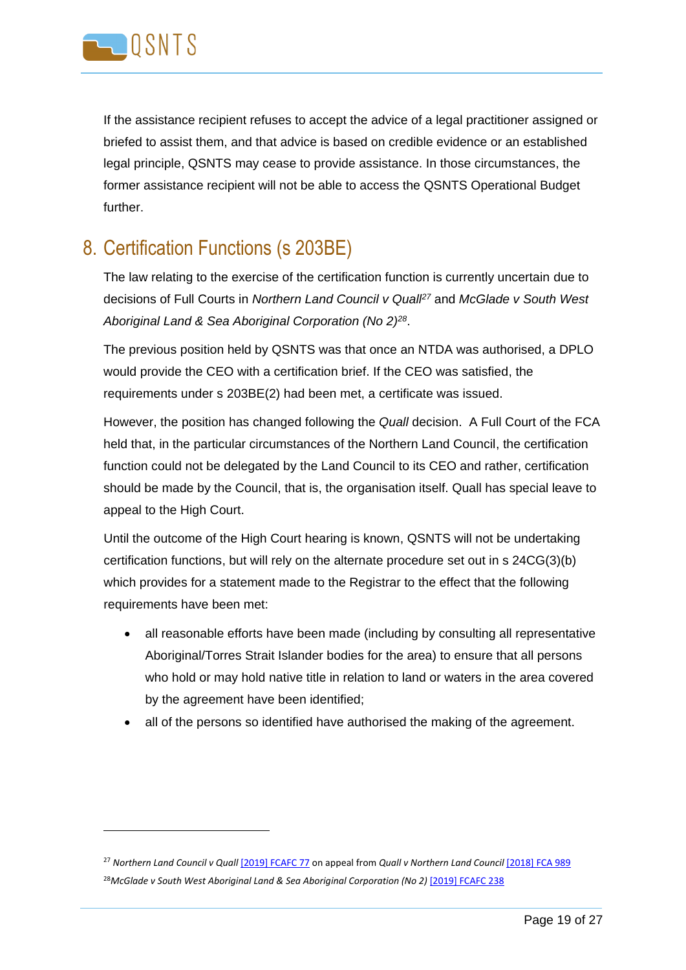

 $\overline{a}$ 

If the assistance recipient refuses to accept the advice of a legal practitioner assigned or briefed to assist them, and that advice is based on credible evidence or an established legal principle, QSNTS may cease to provide assistance. In those circumstances, the former assistance recipient will not be able to access the QSNTS Operational Budget further.

### <span id="page-18-0"></span>8. Certification Functions (s 203BE)

The law relating to the exercise of the certification function is currently uncertain due to decisions of Full Courts in *Northern Land Council v Quall<sup>27</sup>* and *McGlade v South West Aboriginal Land & Sea Aboriginal Corporation (No 2)<sup>28</sup>* .

The previous position held by QSNTS was that once an NTDA was authorised, a DPLO would provide the CEO with a certification brief. If the CEO was satisfied, the requirements under s 203BE(2) had been met, a certificate was issued.

However, the position has changed following the *Quall* decision.A Full Court of the FCA held that, in the particular circumstances of the Northern Land Council, the certification function could not be delegated by the Land Council to its CEO and rather, certification should be made by the Council, that is, the organisation itself. Quall has special leave to appeal to the High Court.

Until the outcome of the High Court hearing is known, QSNTS will not be undertaking certification functions, but will rely on the alternate procedure set out in s 24CG(3)(b) which provides for a statement made to the Registrar to the effect that the following requirements have been met:

- all reasonable efforts have been made (including by consulting all representative Aboriginal/Torres Strait Islander bodies for the area) to ensure that all persons who hold or may hold native title in relation to land or waters in the area covered by the agreement have been identified;
- all of the persons so identified have authorised the making of the agreement.

<sup>27</sup> *Northern Land Council v Quall* [\[2019\] FCAFC 77](http://www.austlii.edu.au/cgi-bin/viewdoc/au/cases/cth/FCAFC/2019/77.html) on appeal from *Quall v Northern Land Council* [\[2018\] FCA 989](http://www.austlii.edu.au/cgi-bin/viewdoc/au/cases/cth/FCA/2018/989.html) <sup>28</sup>McGlade v South West Aboriginal Land & Sea Aboriginal Corporation (No 2) [\[2019\] FCAFC 238](http://www.austlii.edu.au/cgi-bin/viewdoc/au/cases/cth/FCAFC/2019/238.html)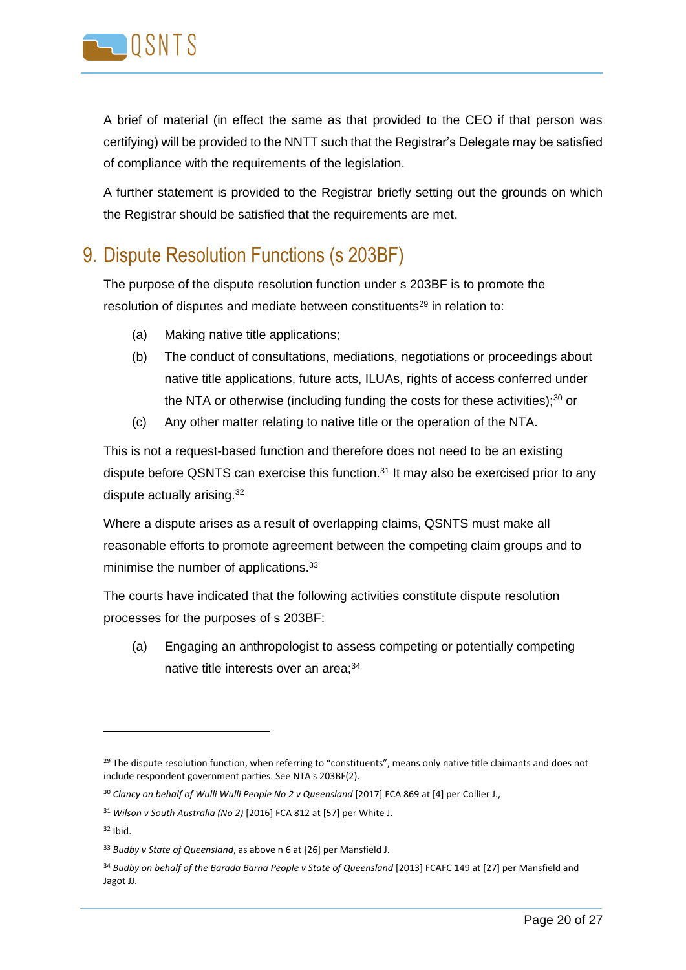

A brief of material (in effect the same as that provided to the CEO if that person was certifying) will be provided to the NNTT such that the Registrar's Delegate may be satisfied of compliance with the requirements of the legislation.

A further statement is provided to the Registrar briefly setting out the grounds on which the Registrar should be satisfied that the requirements are met.

### <span id="page-19-0"></span>9. Dispute Resolution Functions (s 203BF)

The purpose of the dispute resolution function under s 203BF is to promote the resolution of disputes and mediate between constituents<sup>29</sup> in relation to:

- (a) Making native title applications;
- (b) The conduct of consultations, mediations, negotiations or proceedings about native title applications, future acts, ILUAs, rights of access conferred under the NTA or otherwise (including funding the costs for these activities); $30$  or
- (c) Any other matter relating to native title or the operation of the NTA.

This is not a request-based function and therefore does not need to be an existing dispute before QSNTS can exercise this function.<sup>31</sup> It may also be exercised prior to any dispute actually arising.<sup>32</sup>

Where a dispute arises as a result of overlapping claims, QSNTS must make all reasonable efforts to promote agreement between the competing claim groups and to minimise the number of applications.<sup>33</sup>

The courts have indicated that the following activities constitute dispute resolution processes for the purposes of s 203BF:

(a) Engaging an anthropologist to assess competing or potentially competing native title interests over an area;<sup>34</sup>

 $29$  The dispute resolution function, when referring to "constituents", means only native title claimants and does not include respondent government parties. See NTA s 203BF(2).

<sup>&</sup>lt;sup>30</sup> Clancy on behalf of Wulli Wulli People No 2 v Queensland [2017] FCA 869 at [4] per Collier J.,

<sup>31</sup> *Wilson v South Australia (No 2)* [2016] FCA 812 at [57] per White J.

 $32$  Ibid.

<sup>33</sup> *Budby v State of Queensland*, as above n 6 at [26] per Mansfield J.

<sup>34</sup> *Budby on behalf of the Barada Barna People v State of Queensland* [2013] FCAFC 149 at [27] per Mansfield and Jagot JJ.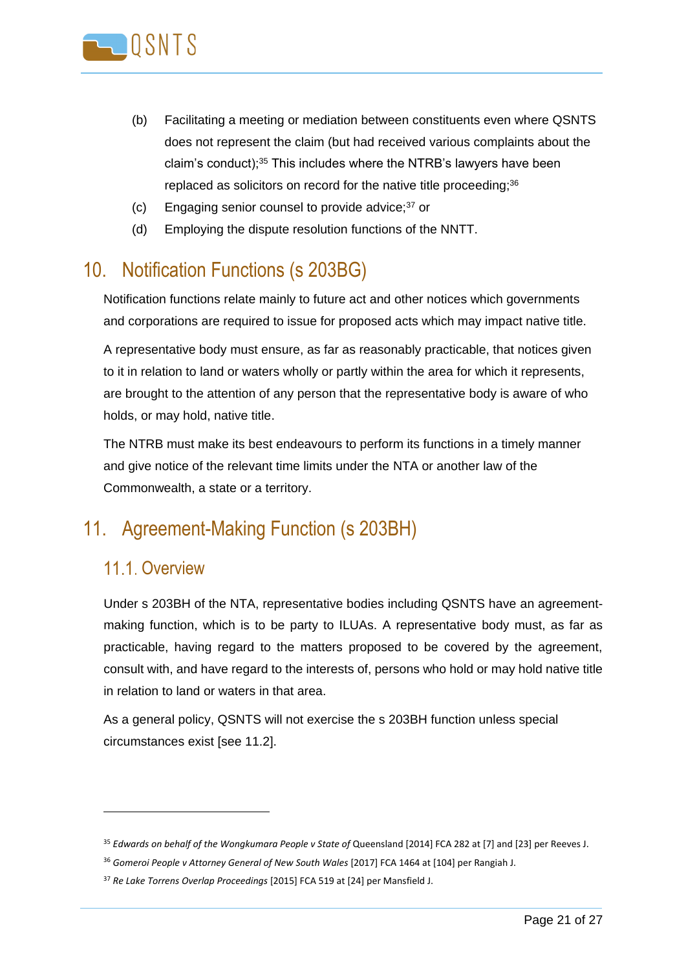

- (b) Facilitating a meeting or mediation between constituents even where QSNTS does not represent the claim (but had received various complaints about the claim's conduct);<sup>35</sup> This includes where the NTRB's lawyers have been replaced as solicitors on record for the native title proceeding;<sup>36</sup>
- (c) Engaging senior counsel to provide advice;<sup>37</sup> or
- (d) Employing the dispute resolution functions of the NNTT.

### <span id="page-20-0"></span>10. Notification Functions (s 203BG)

Notification functions relate mainly to future act and other notices which governments and corporations are required to issue for proposed acts which may impact native title.

A representative body must ensure, as far as reasonably practicable, that notices given to it in relation to land or waters wholly or partly within the area for which it represents, are brought to the attention of any person that the representative body is aware of who holds, or may hold, native title.

The NTRB must make its best endeavours to perform its functions in a timely manner and give notice of the relevant time limits under the NTA or another law of the Commonwealth, a state or a territory.

### <span id="page-20-1"></span>11. Agreement-Making Function (s 203BH)

#### <span id="page-20-2"></span>11.1. Overview

Under s 203BH of the NTA, representative bodies including QSNTS have an agreementmaking function, which is to be party to ILUAs. A representative body must, as far as practicable, having regard to the matters proposed to be covered by the agreement, consult with, and have regard to the interests of, persons who hold or may hold native title in relation to land or waters in that area.

As a general policy, QSNTS will not exercise the s 203BH function unless special circumstances exist [see 11.2].

<sup>&</sup>lt;sup>35</sup> Edwards on behalf of the Wongkumara People v State of Queensland [2014] FCA 282 at [7] and [23] per Reeves J.

<sup>36</sup> *Gomeroi People v Attorney General of New South Wales* [2017] FCA 1464 at [104] per Rangiah J.

<sup>37</sup> *Re Lake Torrens Overlap Proceedings* [2015] FCA 519 at [24] per Mansfield J.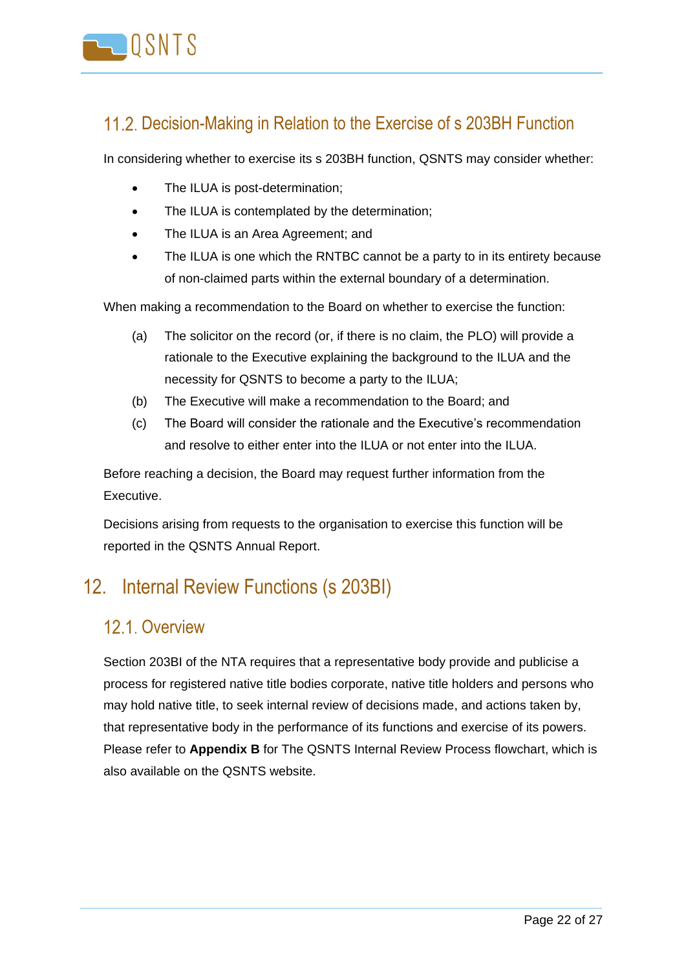

#### <span id="page-21-0"></span>11.2. Decision-Making in Relation to the Exercise of s 203BH Function

In considering whether to exercise its s 203BH function, QSNTS may consider whether:

- The ILUA is post-determination;
- The ILUA is contemplated by the determination:
- The ILUA is an Area Agreement; and
- The ILUA is one which the RNTBC cannot be a party to in its entirety because of non-claimed parts within the external boundary of a determination.

When making a recommendation to the Board on whether to exercise the function:

- (a) The solicitor on the record (or, if there is no claim, the PLO) will provide a rationale to the Executive explaining the background to the ILUA and the necessity for QSNTS to become a party to the ILUA;
- (b) The Executive will make a recommendation to the Board; and
- (c) The Board will consider the rationale and the Executive's recommendation and resolve to either enter into the ILUA or not enter into the ILUA.

Before reaching a decision, the Board may request further information from the Executive.

Decisions arising from requests to the organisation to exercise this function will be reported in the QSNTS Annual Report.

### <span id="page-21-1"></span>12. Internal Review Functions (s 203BI)

#### <span id="page-21-2"></span>12.1. Overview

Section 203BI of the NTA requires that a representative body provide and publicise a process for registered native title bodies corporate, native title holders and persons who may hold native title, to seek internal review of decisions made, and actions taken by, that representative body in the performance of its functions and exercise of its powers. Please refer to **Appendix B** for The QSNTS Internal Review Process flowchart, which is also available on the QSNTS website.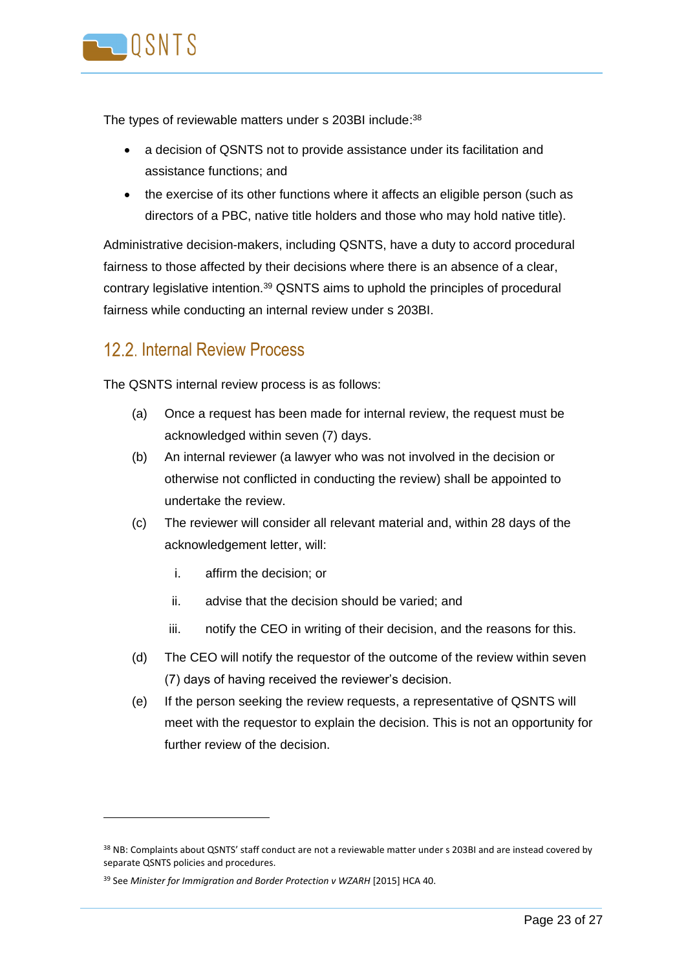

The types of reviewable matters under s 203BI include:<sup>38</sup>

- a decision of QSNTS not to provide assistance under its facilitation and assistance functions; and
- the exercise of its other functions where it affects an eligible person (such as directors of a PBC, native title holders and those who may hold native title).

Administrative decision-makers, including QSNTS, have a duty to accord procedural fairness to those affected by their decisions where there is an absence of a clear, contrary legislative intention.<sup>39</sup> QSNTS aims to uphold the principles of procedural fairness while conducting an internal review under s 203BI.

#### <span id="page-22-0"></span>12.2 Internal Review Process

The QSNTS internal review process is as follows:

- (a) Once a request has been made for internal review, the request must be acknowledged within seven (7) days.
- (b) An internal reviewer (a lawyer who was not involved in the decision or otherwise not conflicted in conducting the review) shall be appointed to undertake the review.
- (c) The reviewer will consider all relevant material and, within 28 days of the acknowledgement letter, will:
	- i. affirm the decision; or
	- ii. advise that the decision should be varied; and
	- iii. notify the CEO in writing of their decision, and the reasons for this.
- (d) The CEO will notify the requestor of the outcome of the review within seven (7) days of having received the reviewer's decision.
- (e) If the person seeking the review requests, a representative of QSNTS will meet with the requestor to explain the decision. This is not an opportunity for further review of the decision.

<sup>&</sup>lt;sup>38</sup> NB: Complaints about QSNTS' staff conduct are not a reviewable matter under s 203BI and are instead covered by separate QSNTS policies and procedures.

<sup>39</sup> See *Minister for Immigration and Border Protection v WZARH* [2015] HCA 40.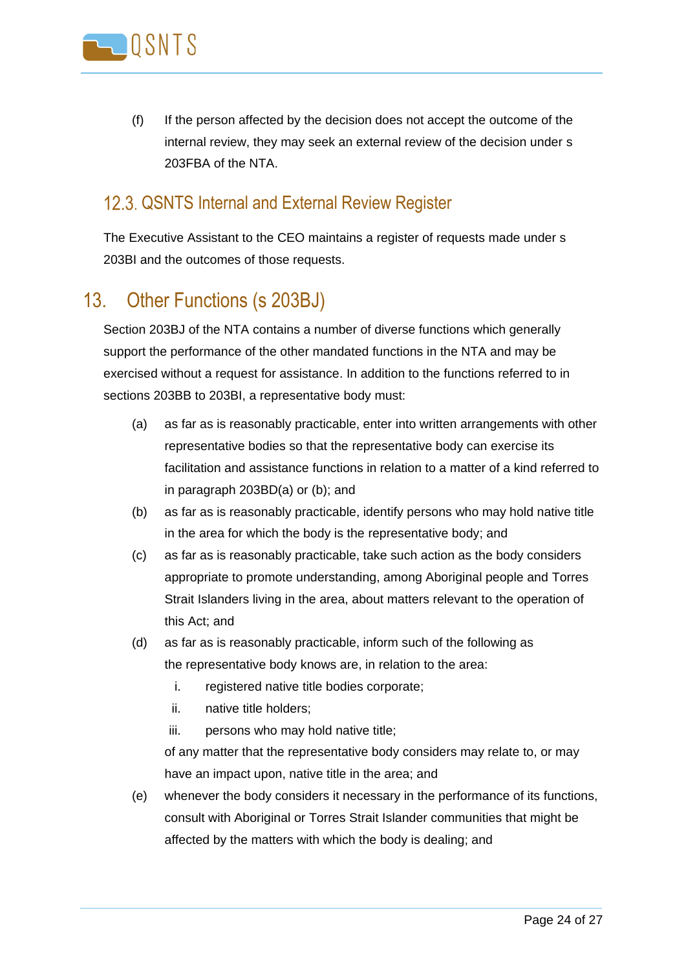

(f) If the person affected by the decision does not accept the outcome of the internal review, they may seek an external review of the decision under s 203FBA of the NTA.

#### <span id="page-23-0"></span>12.3. QSNTS Internal and External Review Register

The Executive Assistant to the CEO maintains a register of requests made under s 203BI and the outcomes of those requests.

### <span id="page-23-1"></span>13. Other Functions (s 203BJ)

Section 203BJ of the NTA contains a number of diverse functions which generally support the performance of the other mandated functions in the NTA and may be exercised without a request for assistance. In addition to the functions referred to in sections 203BB to 203BI, a representative body must:

- (a) as far as is reasonably practicable, enter into written arrangements with other representative bodies so that the representative body can exercise its facilitation and assistance functions in relation to a matter of a kind referred to in paragraph 203BD(a) or (b); and
- (b) as far as is reasonably practicable, identify persons who may hold native title in the area for which the body is the representative body; and
- (c) as far as is reasonably practicable, take such action as the body considers appropriate to promote understanding, among Aboriginal people and Torres Strait Islanders living in the area, about matters relevant to the operation of this Act; and
- (d) as far as is reasonably practicable, inform such of the following as the representative body knows are, in relation to the area:
	- i. registered native title bodies corporate;
	- ii. native title holders;
	- iii. persons who may hold native title;

of any matter that the representative body considers may relate to, or may have an impact upon, native title in the area; and

(e) whenever the body considers it necessary in the performance of its functions, consult with Aboriginal or Torres Strait Islander communities that might be affected by the matters with which the body is dealing; and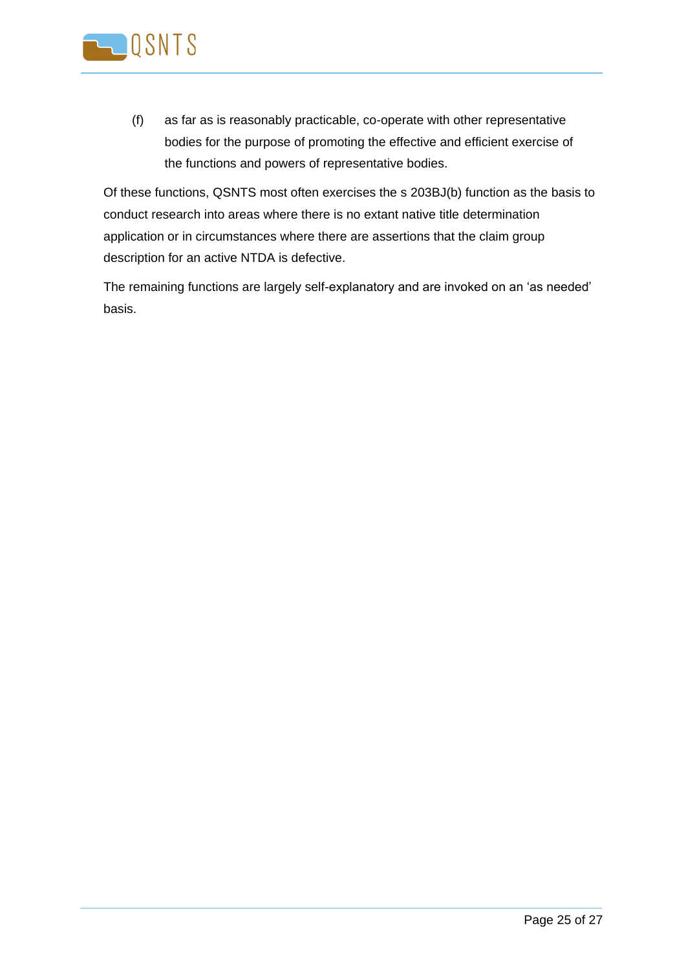

(f) as far as is reasonably practicable, co-operate with other representative bodies for the purpose of promoting the effective and efficient exercise of the functions and powers of representative bodies.

Of these functions, QSNTS most often exercises the s 203BJ(b) function as the basis to conduct research into areas where there is no extant native title determination application or in circumstances where there are assertions that the claim group description for an active NTDA is defective.

The remaining functions are largely self-explanatory and are invoked on an 'as needed' basis.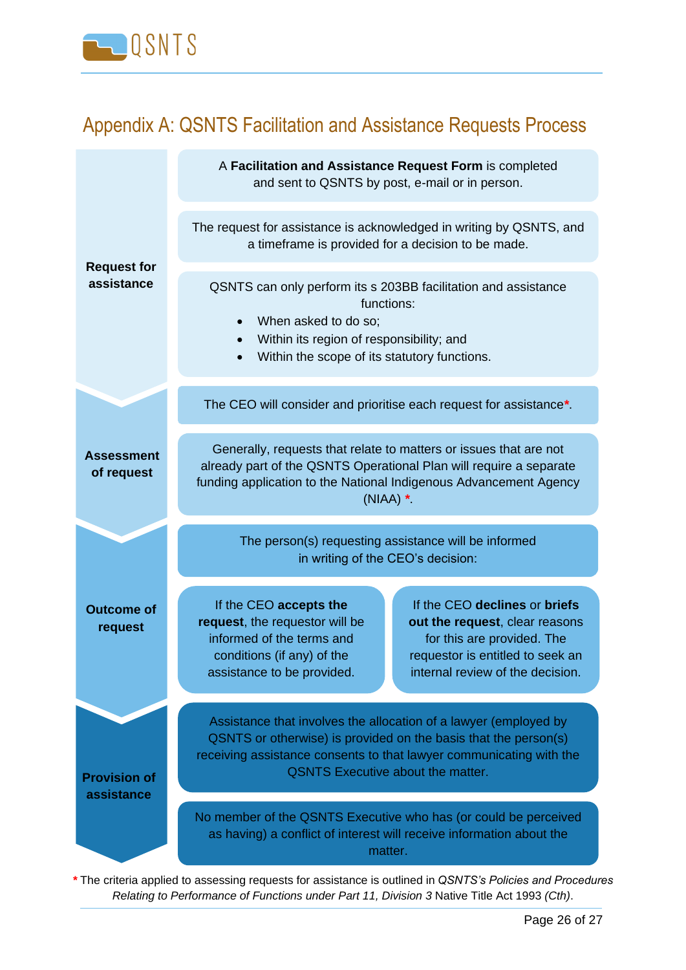

## <span id="page-25-0"></span>Appendix A: QSNTS Facilitation and Assistance Requests Process

|                                   | A Facilitation and Assistance Request Form is completed<br>and sent to QSNTS by post, e-mail or in person.                                                                                                                                             |                                                                                                                                                                       |  |
|-----------------------------------|--------------------------------------------------------------------------------------------------------------------------------------------------------------------------------------------------------------------------------------------------------|-----------------------------------------------------------------------------------------------------------------------------------------------------------------------|--|
| <b>Request for</b>                | The request for assistance is acknowledged in writing by QSNTS, and<br>a timeframe is provided for a decision to be made.                                                                                                                              |                                                                                                                                                                       |  |
| assistance                        | QSNTS can only perform its s 203BB facilitation and assistance<br>functions:<br>When asked to do so;<br>Within its region of responsibility; and<br>Within the scope of its statutory functions.<br>$\bullet$                                          |                                                                                                                                                                       |  |
|                                   | The CEO will consider and prioritise each request for assistance*.                                                                                                                                                                                     |                                                                                                                                                                       |  |
| <b>Assessment</b><br>of request   | Generally, requests that relate to matters or issues that are not<br>already part of the QSNTS Operational Plan will require a separate<br>funding application to the National Indigenous Advancement Agency<br>$(NIAA)$ *                             |                                                                                                                                                                       |  |
|                                   | The person(s) requesting assistance will be informed<br>in writing of the CEO's decision:                                                                                                                                                              |                                                                                                                                                                       |  |
| <b>Outcome of</b><br>request      | If the CEO accepts the<br>request, the requestor will be<br>informed of the terms and<br>conditions (if any) of the<br>assistance to be provided.                                                                                                      | If the CEO declines or briefs<br>out the request, clear reasons<br>for this are provided. The<br>requestor is entitled to seek an<br>internal review of the decision. |  |
| <b>Provision of</b><br>assistance | Assistance that involves the allocation of a lawyer (employed by<br>QSNTS or otherwise) is provided on the basis that the person(s)<br>receiving assistance consents to that lawyer communicating with the<br><b>QSNTS Executive about the matter.</b> |                                                                                                                                                                       |  |
|                                   | No member of the QSNTS Executive who has (or could be perceived<br>as having) a conflict of interest will receive information about the<br>matter.                                                                                                     |                                                                                                                                                                       |  |

*\** The criteria applied to assessing requests for assistance is outlined in *QSNTS's Policies and Procedures Relating to Performance of Functions under Part 11, Division 3* Native Title Act 1993 *(Cth)*.